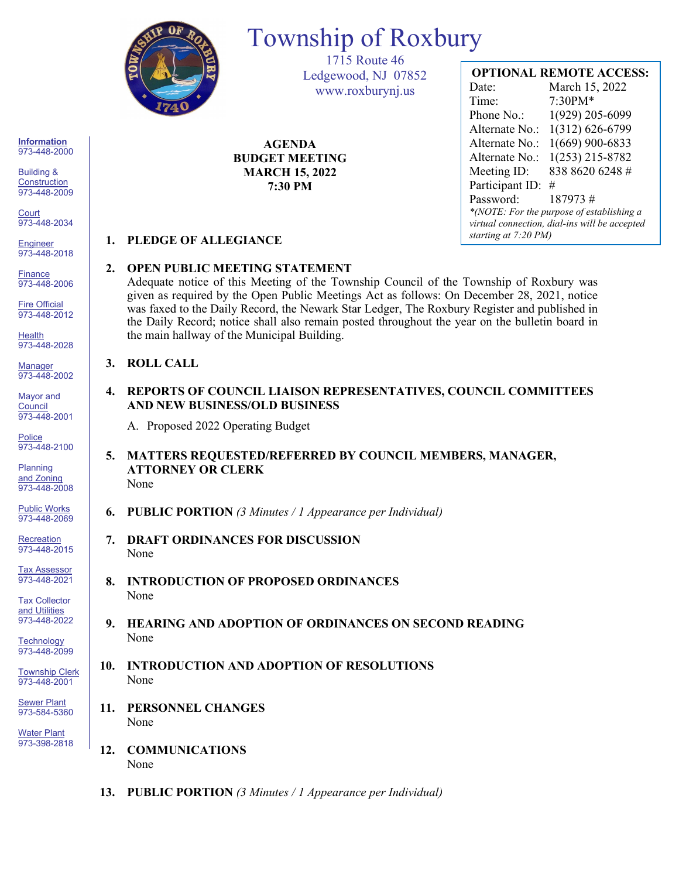

# Township of Roxbury

1715 Route 46 Ledgewood, NJ 07852 www.roxburynj.us

**AGENDA BUDGET MEETING MARCH 15, 2022 7:30 PM**

# **OPTIONAL REMOTE ACCESS:**

Date: March 15, 2022 Time: 7:30PM\* Phone No.: 1(929) 205-6099 Alternate No.: 1(312) 626-6799 Alternate No.: 1(669) 900-6833 Alternate No.: 1(253) 215-8782 Meeting ID: 838 8620 6248 # Participant ID: # Password: 187973 # *\*(NOTE: For the purpose of establishing a virtual connection, dial-ins will be accepted starting at 7:20 PM)*

## **1. PLEDGE OF ALLEGIANCE**

### **2. OPEN PUBLIC MEETING STATEMENT**

Adequate notice of this Meeting of the Township Council of the Township of Roxbury was given as required by the Open Public Meetings Act as follows: On December 28, 2021, notice was faxed to the Daily Record, the Newark Star Ledger, The Roxbury Register and published in the Daily Record; notice shall also remain posted throughout the year on the bulletin board in the main hallway of the Municipal Building.

#### **3. ROLL CALL**

**4. REPORTS OF COUNCIL LIAISON REPRESENTATIVES, COUNCIL COMMITTEES AND NEW BUSINESS/OLD BUSINESS**

A. Proposed 2022 Operating Budget

- **5. MATTERS REQUESTED/REFERRED BY COUNCIL MEMBERS, MANAGER, ATTORNEY OR CLERK** None
- **6. PUBLIC PORTION** *(3 Minutes / 1 Appearance per Individual)*
- **7. DRAFT ORDINANCES FOR DISCUSSION** None
- **8. INTRODUCTION OF PROPOSED ORDINANCES** None
- **9. HEARING AND ADOPTION OF ORDINANCES ON SECOND READING** None
- **10. INTRODUCTION AND ADOPTION OF RESOLUTIONS** None
- **11. PERSONNEL CHANGES** None
- **12. COMMUNICATIONS** None
- **13. PUBLIC PORTION** *(3 Minutes / 1 Appearance per Individual)*

**Information** 973-448-2000

Building & **Construction** 973-448-2009

**Court** 973-448-2034

**Engineer** 973-448-2018

**Finance** 973-448-2006

Fire Official 973-448-2012

**Health** 973-448-2028

Manager 973-448-2002

Mayor and **Council** 973-448-2001

**Police** 973-448-2100

Planning and Zoning 973-448-2008

Public Works 973-448-2069

**Recreation** 973-448-2015

Tax Assessor 973-448-2021

Tax Collector and Utilities 973-448-2022

**Technology** 973-448-2099

Township Clerk 973-448-2001

**Sewer Plant** 973-584-5360

Water Plant 973-398-2818